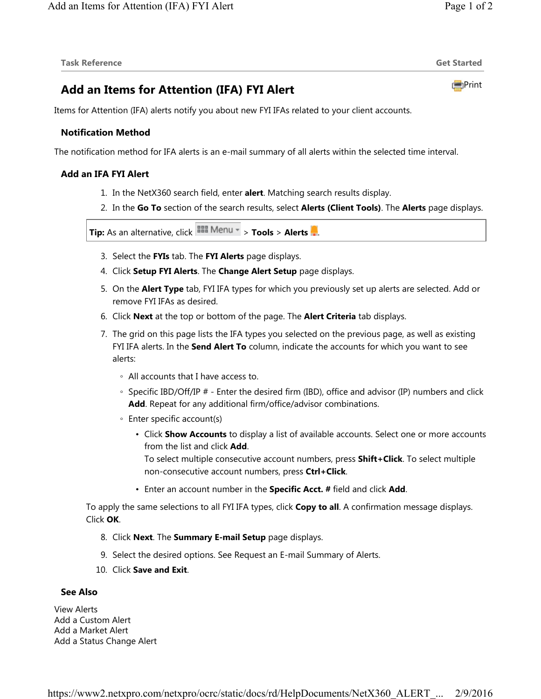# **Add an Items for Attention (IFA) FYI Alert**

Items for Attention (IFA) alerts notify you about new FYI IFAs related to your client accounts.

## **Notification Method**

The notification method for IFA alerts is an e-mail summary of all alerts within the selected time interval.

## **Add an IFA FYI Alert**

- 1. In the NetX360 search field, enter **alert**. Matching search results display.
- 2. In the **Go To** section of the search results, select **Alerts (Client Tools)**. The **Alerts** page displays.

**Tip:** As an alternative, click > **Tools** > **Alerts** .

- 3. Select the **FYIs** tab. The **FYI Alerts** page displays.
- 4. Click **Setup FYI Alerts**. The **Change Alert Setup** page displays.
- 5. On the **Alert Type** tab, FYI IFA types for which you previously set up alerts are selected. Add or remove FYI IFAs as desired.
- 6. Click **Next** at the top or bottom of the page. The **Alert Criteria** tab displays.
- 7. The grid on this page lists the IFA types you selected on the previous page, as well as existing FYI IFA alerts. In the **Send Alert To** column, indicate the accounts for which you want to see alerts:
	- All accounts that I have access to.
	- Specific IBD/Off/IP # Enter the desired firm (IBD), office and advisor (IP) numbers and click **Add**. Repeat for any additional firm/office/advisor combinations.
	- Enter specific account(s)
		- Click **Show Accounts** to display a list of available accounts. Select one or more accounts from the list and click **Add**.

To select multiple consecutive account numbers, press **Shift+Click**. To select multiple non-consecutive account numbers, press **Ctrl+Click**.

• Enter an account number in the **Specific Acct. #** field and click **Add**.

To apply the same selections to all FYI IFA types, click **Copy to all**. A confirmation message displays. Click **OK**.

- 8. Click **Next**. The **Summary E-mail Setup** page displays.
- 9. Select the desired options. See Request an E-mail Summary of Alerts.
- 10. Click **Save and Exit**.

#### **See Also**

View Alerts Add a Custom Alert Add a Market Alert Add a Status Change Alert

**Print**